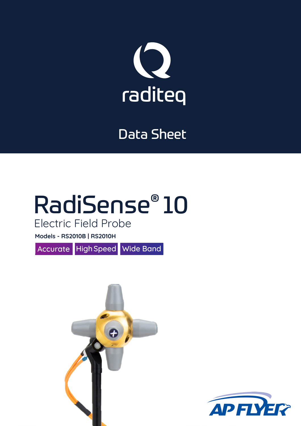

### Data Sheet

# RadiSense® 10

### Electric Field Probe

**Models - RS2010B | RS2010H**

Accurate High Speed Wide Band



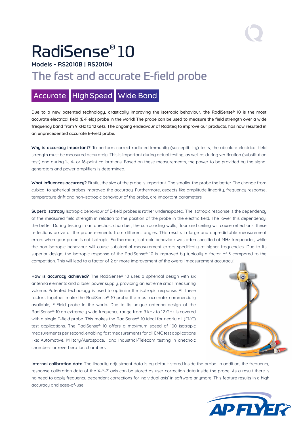## RadiSense® 10

#### **Models - RS2010B | RS2010H**

### The fast and accurate E-field probe

### Accurate High Speed Wide Band

Due to a new patented technology, drastically improving the isotropic behaviour, the RadiSense® 10 is the most accurate electrical field (E-Field) probe in the world! The probe can be used to measure the field strength over a wide frequency band from 9 kHz to 12 GHz. The ongoing endeavour of Raditeg to improve our products, has now resulted in an unprecedented accurate E-Field probe.

Why is accuracy important? To perform correct radiated immunity (susceptibility) tests, the absolute electrical field strength must be measured accurately. This is important during actual testing, as well as during verification (substitution test) and during 1-, 4- or 16-point calibrations. Based on these measurements, the power to be provided by the signal generators and power amplifiers is determined.

**What influences accuracy?** Firstly, the size of the probe is important. The smaller the probe the better. The change from cubical to spherical probes improved the accuracy. Furthermore, aspects like amplitude linearity, frequency response, temperature drift and non-isotropic behaviour of the probe, are important parameters.

**Superb Isotropy** Isotropic behaviour of E-field probes is rather underexposed. The isotropic response is the dependency of the measured field strength in relation to the position of the probe in the electric field. The lower this dependency, the better. During testing in an anechoic chamber, the surrounding walls, floor and ceiling will cause reflections. these reflections arrive at the probe elements from different angles. This results in large and unpredictable measurement errors when your probe is not isotropic. Furthermore, isotropic behaviour was often specified at MHz frequencies, while the non-isotropic behaviour will cause substantial measurement errors specifically at higher frequencies. Due to its superior design, the isotropic response of the RadiSense® 10 is improved by typically a factor of 5 compared to the competition. This will lead to a factor of 2 or more improvement of the overall measurement accuracy!

**How is accuracy achieved?** The RadiSense® 10 uses a spherical design with six antenna elements and a laser power supply, providing an extreme small measuring volume. Patented technology is used to optimize the isotropic response. All these factors together make the RadiSense® 10 probe the most accurate, commercially available, E-Field probe in the world. Due to its unique antenna design of the RadiSense® 10 an extremely wide frequency range from 9 kHz to 12 GHz is covered with a single E-field probe. This makes the RadiSense® 10 ideal for nearly all (EMC) test applications. The RadiSense® 10 offers a maximum speed of 100 isotropic measurements per second, enabling fast measurements for all EMC test applications like: Automotive, Military/Aerospace, and Industrial/Telecom testing in anechoic chambers or reverberation chambers.



**Internal calibration data** The linearity adjustment data is by default stored inside the probe. In addition, the frequency response calibration data of the X-Y-Z axis can be stored as user correction data inside the probe. As a result there is no need to apply frequency dependent corrections for individual axis' in software anymore. This feature results in a high accuracy and ease-of-use.